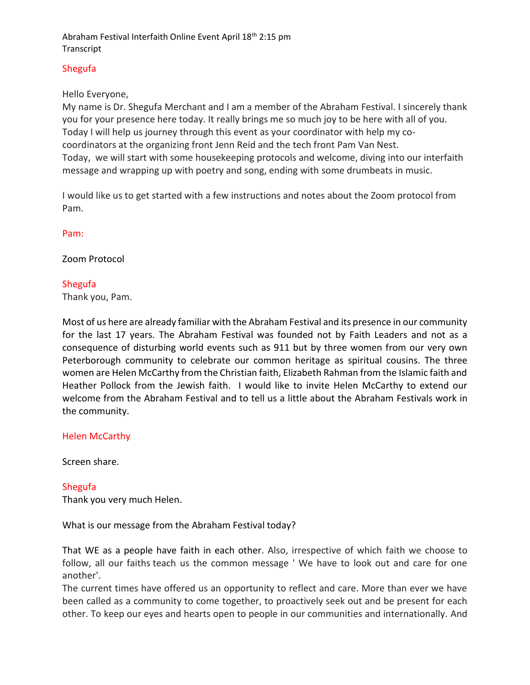## Shegufa

## Hello Everyone,

My name is Dr. Shegufa Merchant and I am a member of the Abraham Festival. I sincerely thank you for your presence here today. It really brings me so much joy to be here with all of you. Today I will help us journey through this event as your coordinator with help my cocoordinators at the organizing front Jenn Reid and the tech front Pam Van Nest. Today, we will start with some housekeeping protocols and welcome, diving into our interfaith message and wrapping up with poetry and song, ending with some drumbeats in music.

I would like us to get started with a few instructions and notes about the Zoom protocol from Pam.

### Pam:

## Zoom Protocol

### Shegufa

Thank you, Pam.

Most of us here are already familiar with the Abraham Festival and its presence in our community for the last 17 years. The Abraham Festival was founded not by Faith Leaders and not as a consequence of disturbing world events such as 911 but by three women from our very own Peterborough community to celebrate our common heritage as spiritual cousins. The three women are Helen McCarthy from the Christian faith, Elizabeth Rahman from the Islamic faith and Heather Pollock from the Jewish faith. I would like to invite Helen McCarthy to extend our welcome from the Abraham Festival and to tell us a little about the Abraham Festivals work in the community.

### Helen McCarthy

Screen share.

### Shegufa

Thank you very much Helen.

What is our message from the Abraham Festival today?

That WE as a people have faith in each other. Also, irrespective of which faith we choose to follow, all our faiths teach us the common message ' We have to look out and care for one another'.

The current times have offered us an opportunity to reflect and care. More than ever we have been called as a community to come together, to proactively seek out and be present for each other. To keep our eyes and hearts open to people in our communities and internationally. And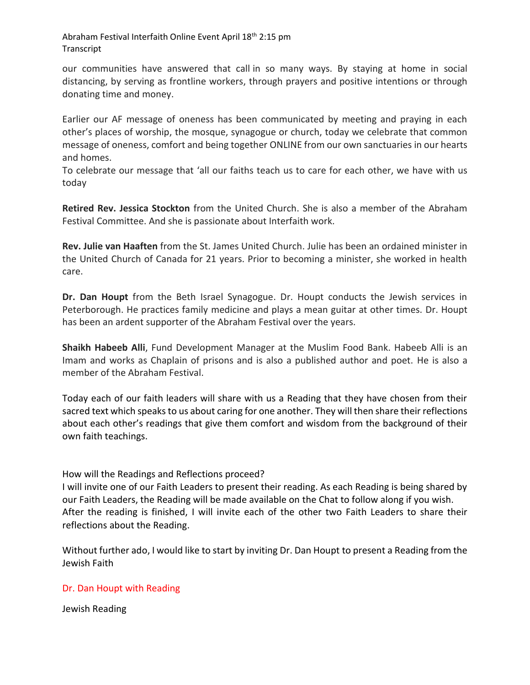our communities have answered that call in so many ways. By staying at home in social distancing, by serving as frontline workers, through prayers and positive intentions or through donating time and money.

Earlier our AF message of oneness has been communicated by meeting and praying in each other's places of worship, the mosque, synagogue or church, today we celebrate that common message of oneness, comfort and being together ONLINE from our own sanctuaries in our hearts and homes.

To celebrate our message that 'all our faiths teach us to care for each other, we have with us today

**Retired Rev. Jessica Stockton** from the United Church. She is also a member of the Abraham Festival Committee. And she is passionate about Interfaith work.

**Rev. Julie van Haaften** from the St. James United Church. Julie has been an ordained minister in the United Church of Canada for 21 years. Prior to becoming a minister, she worked in health care.

**Dr. Dan Houpt** from the Beth Israel Synagogue. Dr. Houpt conducts the Jewish services in Peterborough. He practices family medicine and plays a mean guitar at other times. Dr. Houpt has been an ardent supporter of the Abraham Festival over the years.

**Shaikh Habeeb Alli**, Fund Development Manager at the Muslim Food Bank. Habeeb Alli is an Imam and works as Chaplain of prisons and is also a published author and poet. He is also a member of the Abraham Festival.

Today each of our faith leaders will share with us a Reading that they have chosen from their sacred text which speaks to us about caring for one another. They will then share their reflections about each other's readings that give them comfort and wisdom from the background of their own faith teachings.

## How will the Readings and Reflections proceed?

I will invite one of our Faith Leaders to present their reading. As each Reading is being shared by our Faith Leaders, the Reading will be made available on the Chat to follow along if you wish. After the reading is finished, I will invite each of the other two Faith Leaders to share their reflections about the Reading.

Without further ado, I would like to start by inviting Dr. Dan Houpt to present a Reading from the Jewish Faith

### Dr. Dan Houpt with Reading

Jewish Reading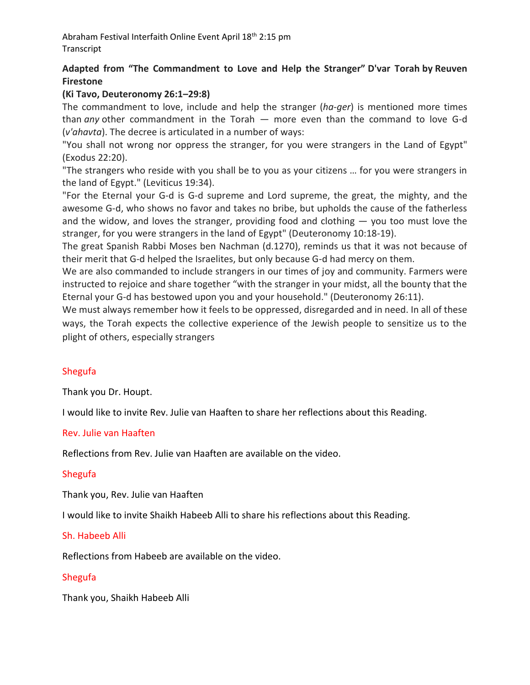# **Adapted from "The Commandment to Love and Help the Stranger" D'var Torah by Reuven Firestone**

## **(Ki Tavo, Deuteronomy 26:1–29:8)**

The commandment to love, include and help the stranger (*ha-ger*) is mentioned more times than *any* other commandment in the Torah — more even than the command to love G-d (*v'ahavta*). The decree is articulated in a number of ways:

"You shall not wrong nor oppress the stranger, for you were strangers in the Land of Egypt" (Exodus 22:20).

"The strangers who reside with you shall be to you as your citizens … for you were strangers in the land of Egypt." (Leviticus 19:34).

"For the Eternal your G-d is G-d supreme and Lord supreme, the great, the mighty, and the awesome G-d, who shows no favor and takes no bribe, but upholds the cause of the fatherless and the widow, and loves the stranger, providing food and clothing — you too must love the stranger, for you were strangers in the land of Egypt" (Deuteronomy 10:18-19).

The great Spanish Rabbi Moses ben Nachman (d.1270), reminds us that it was not because of their merit that G-d helped the Israelites, but only because G-d had mercy on them.

We are also commanded to include strangers in our times of joy and community. Farmers were instructed to rejoice and share together "with the stranger in your midst, all the bounty that the Eternal your G-d has bestowed upon you and your household." (Deuteronomy 26:11).

We must always remember how it feels to be oppressed, disregarded and in need. In all of these ways, the Torah expects the collective experience of the Jewish people to sensitize us to the plight of others, especially strangers

## Shegufa

Thank you Dr. Houpt.

I would like to invite Rev. Julie van Haaften to share her reflections about this Reading.

### Rev. Julie van Haaften

Reflections from Rev. Julie van Haaften are available on the video.

## Shegufa

Thank you, Rev. Julie van Haaften

I would like to invite Shaikh Habeeb Alli to share his reflections about this Reading.

### Sh. Habeeb Alli

Reflections from Habeeb are available on the video.

## Shegufa

Thank you, Shaikh Habeeb Alli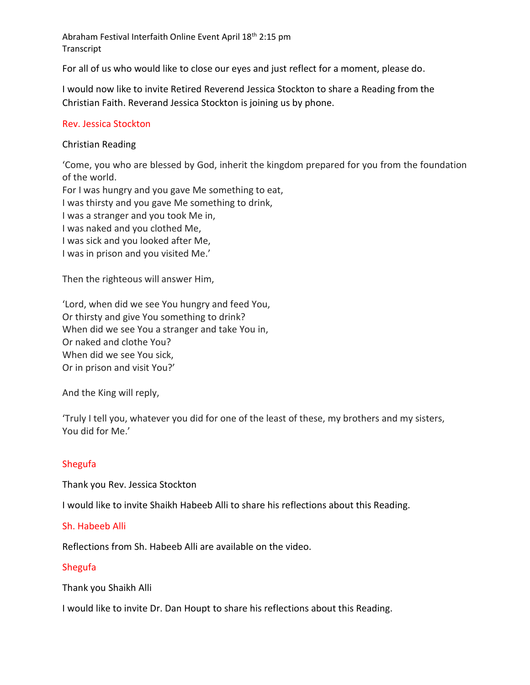For all of us who would like to close our eyes and just reflect for a moment, please do.

I would now like to invite Retired Reverend Jessica Stockton to share a Reading from the Christian Faith. Reverand Jessica Stockton is joining us by phone.

## Rev. Jessica Stockton

## Christian Reading

'Come, you who are blessed by God, inherit the kingdom prepared for you from the foundation of the world.

For I was hungry and you gave Me something to eat,

I was thirsty and you gave Me something to drink,

I was a stranger and you took Me in,

I was naked and you clothed Me,

I was sick and you looked after Me,

I was in prison and you visited Me.'

Then the righteous will answer Him,

'Lord, when did we see You hungry and feed You, Or thirsty and give You something to drink? When did we see You a stranger and take You in, Or naked and clothe You? When did we see You sick, Or in prison and visit You?'

And the King will reply,

'Truly I tell you, whatever you did for one of the least of these, my brothers and my sisters, You did for Me.'

## Shegufa

Thank you Rev. Jessica Stockton

I would like to invite Shaikh Habeeb Alli to share his reflections about this Reading.

## Sh. Habeeb Alli

Reflections from Sh. Habeeb Alli are available on the video.

### Shegufa

Thank you Shaikh Alli

I would like to invite Dr. Dan Houpt to share his reflections about this Reading.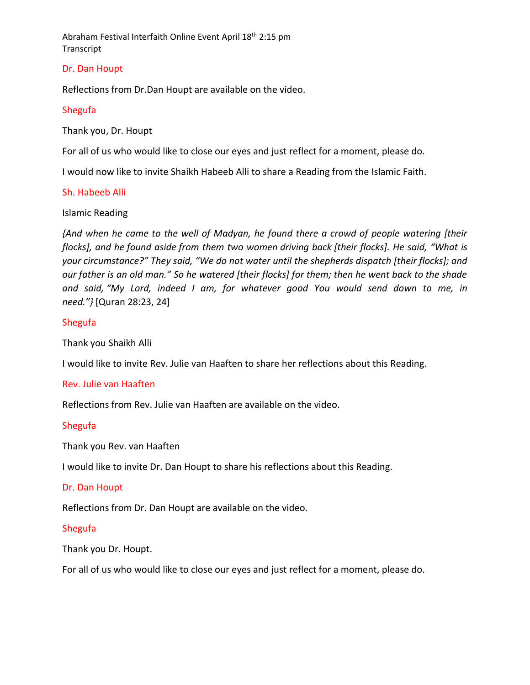## Dr. Dan Houpt

Reflections from Dr.Dan Houpt are available on the video.

## Shegufa

Thank you, Dr. Houpt

For all of us who would like to close our eyes and just reflect for a moment, please do.

I would now like to invite Shaikh Habeeb Alli to share a Reading from the Islamic Faith.

## Sh. Habeeb Alli

### Islamic Reading

*{And when he came to the well of Madyan, he found there a crowd of people watering [their flocks], and he found aside from them two women driving back [their flocks]. He said, "What is your circumstance?" They said, "We do not water until the shepherds dispatch [their flocks]; and our father is an old man." So he watered [their flocks] for them; then he went back to the shade and said, "My Lord, indeed I am, for whatever good You would send down to me, in need."}* [Quran 28:23, 24]

## Shegufa

Thank you Shaikh Alli

I would like to invite Rev. Julie van Haaften to share her reflections about this Reading.

### Rev. Julie van Haaften

Reflections from Rev. Julie van Haaften are available on the video.

## Shegufa

Thank you Rev. van Haaften

I would like to invite Dr. Dan Houpt to share his reflections about this Reading.

### Dr. Dan Houpt

Reflections from Dr. Dan Houpt are available on the video.

### Shegufa

Thank you Dr. Houpt.

For all of us who would like to close our eyes and just reflect for a moment, please do.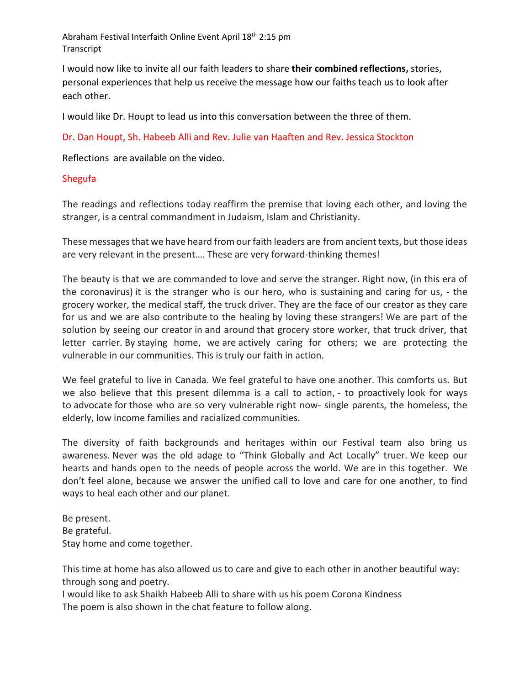I would now like to invite all our faith leaders to share **their combined reflections,** stories, personal experiences that help us receive the message how our faiths teach us to look after each other.

I would like Dr. Houpt to lead us into this conversation between the three of them.

Dr. Dan Houpt, Sh. Habeeb Alli and Rev. Julie van Haaften and Rev. Jessica Stockton

Reflections are available on the video.

## Shegufa

The readings and reflections today reaffirm the premise that loving each other, and loving the stranger, is a central commandment in Judaism, Islam and Christianity.

These messages that we have heard from our faith leaders are from ancient texts, but those ideas are very relevant in the present…. These are very forward-thinking themes!

The beauty is that we are commanded to love and serve the stranger. Right now, (in this era of the coronavirus) it is the stranger who is our hero, who is sustaining and caring for us, - the grocery worker, the medical staff, the truck driver. They are the face of our creator as they care for us and we are also contribute to the healing by loving these strangers! We are part of the solution by seeing our creator in and around that grocery store worker, that truck driver, that letter carrier. By staying home, we are actively caring for others; we are protecting the vulnerable in our communities. This is truly our faith in action.

We feel grateful to live in Canada. We feel grateful to have one another. This comforts us. But we also believe that this present dilemma is a call to action, - to proactively look for ways to advocate for those who are so very vulnerable right now- single parents, the homeless, the elderly, low income families and racialized communities.

The diversity of faith backgrounds and heritages within our Festival team also bring us awareness. Never was the old adage to "Think Globally and Act Locally" truer. We keep our hearts and hands open to the needs of people across the world. We are in this together. We don't feel alone, because we answer the unified call to love and care for one another, to find ways to heal each other and our planet.

Be present. Be grateful. Stay home and come together.

This time at home has also allowed us to care and give to each other in another beautiful way: through song and poetry.

I would like to ask Shaikh Habeeb Alli to share with us his poem Corona Kindness The poem is also shown in the chat feature to follow along.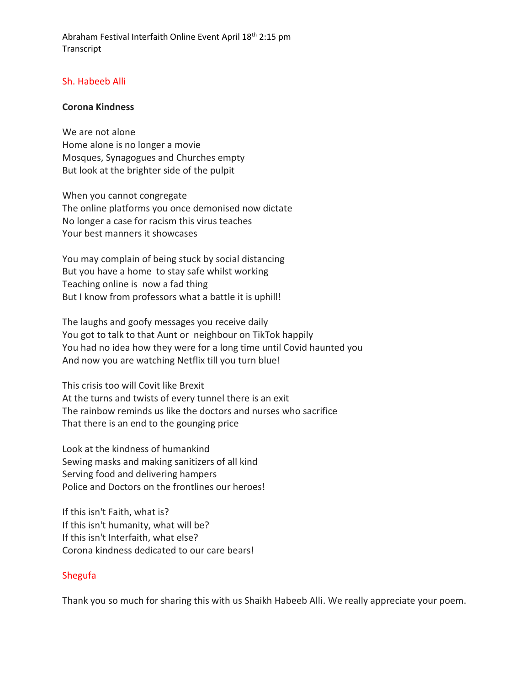## Sh. Habeeb Alli

#### **Corona Kindness**

We are not alone Home alone is no longer a movie Mosques, Synagogues and Churches empty But look at the brighter side of the pulpit

When you cannot congregate The online platforms you once demonised now dictate No longer a case for racism this virus teaches Your best manners it showcases

You may complain of being stuck by social distancing But you have a home to stay safe whilst working Teaching online is now a fad thing But I know from professors what a battle it is uphill!

The laughs and goofy messages you receive daily You got to talk to that Aunt or neighbour on TikTok happily You had no idea how they were for a long time until Covid haunted you And now you are watching Netflix till you turn blue!

This crisis too will Covit like Brexit At the turns and twists of every tunnel there is an exit The rainbow reminds us like the doctors and nurses who sacrifice That there is an end to the gounging price

Look at the kindness of humankind Sewing masks and making sanitizers of all kind Serving food and delivering hampers Police and Doctors on the frontlines our heroes!

If this isn't Faith, what is? If this isn't humanity, what will be? If this isn't Interfaith, what else? Corona kindness dedicated to our care bears!

### Shegufa

Thank you so much for sharing this with us Shaikh Habeeb Alli. We really appreciate your poem.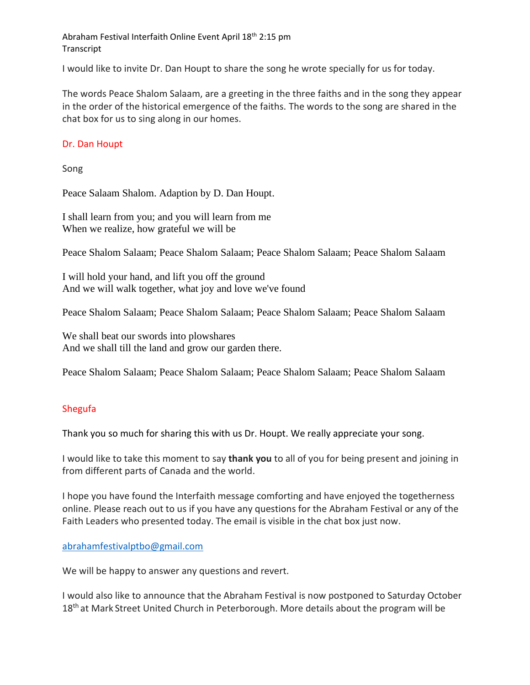I would like to invite Dr. Dan Houpt to share the song he wrote specially for us for today.

The words Peace Shalom Salaam, are a greeting in the three faiths and in the song they appear in the order of the historical emergence of the faiths. The words to the song are shared in the chat box for us to sing along in our homes.

## Dr. Dan Houpt

Song

Peace Salaam Shalom. Adaption by D. Dan Houpt.

I shall learn from you; and you will learn from me When we realize, how grateful we will be

Peace Shalom Salaam; Peace Shalom Salaam; Peace Shalom Salaam; Peace Shalom Salaam

I will hold your hand, and lift you off the ground And we will walk together, what joy and love we've found

Peace Shalom Salaam; Peace Shalom Salaam; Peace Shalom Salaam; Peace Shalom Salaam

We shall beat our swords into plowshares And we shall till the land and grow our garden there.

Peace Shalom Salaam; Peace Shalom Salaam; Peace Shalom Salaam; Peace Shalom Salaam

## Shegufa

Thank you so much for sharing this with us Dr. Houpt. We really appreciate your song.

I would like to take this moment to say **thank you** to all of you for being present and joining in from different parts of Canada and the world.

I hope you have found the Interfaith message comforting and have enjoyed the togetherness online. Please reach out to us if you have any questions for the Abraham Festival or any of the Faith Leaders who presented today. The email is visible in the chat box just now.

### [abrahamfestivalptbo@gmail.com](mailto:abrahamfestivalptbo@gmail.com)

We will be happy to answer any questions and revert.

I would also like to announce that the Abraham Festival is now postponed to Saturday October 18<sup>th</sup> at Mark Street United Church in Peterborough. More details about the program will be